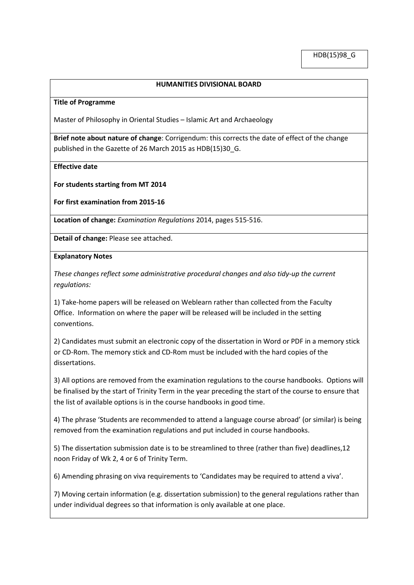## **HUMANITIES DIVISIONAL BOARD**

## **Title of Programme**

Master of Philosophy in Oriental Studies – Islamic Art and Archaeology

**Brief note about nature of change**: Corrigendum: this corrects the date of effect of the change published in the Gazette of 26 March 2015 as HDB(15)30\_G.

**Effective date**

**For students starting from MT 2014**

**For first examination from 2015-16** 

**Location of change:** *Examination Regulations* 2014, pages 515-516.

**Detail of change:** Please see attached.

## **Explanatory Notes**

*These changes reflect some administrative procedural changes and also tidy-up the current regulations:*

1) Take-home papers will be released on Weblearn rather than collected from the Faculty Office. Information on where the paper will be released will be included in the setting conventions.

2) Candidates must submit an electronic copy of the dissertation in Word or PDF in a memory stick or CD-Rom. The memory stick and CD-Rom must be included with the hard copies of the dissertations.

3) All options are removed from the examination regulations to the course handbooks. Options will be finalised by the start of Trinity Term in the year preceding the start of the course to ensure that the list of available options is in the course handbooks in good time.

4) The phrase 'Students are recommended to attend a language course abroad' (or similar) is being removed from the examination regulations and put included in course handbooks.

5) The dissertation submission date is to be streamlined to three (rather than five) deadlines,12 noon Friday of Wk 2, 4 or 6 of Trinity Term.

6) Amending phrasing on viva requirements to 'Candidates may be required to attend a viva'.

7) Moving certain information (e.g. dissertation submission) to the general regulations rather than under individual degrees so that information is only available at one place.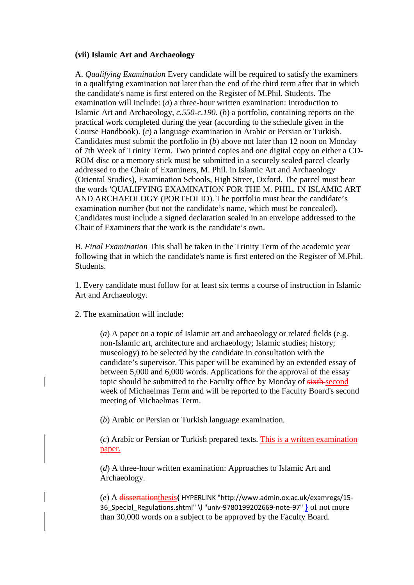## **(vii) Islamic Art and Archaeology**

A. *Qualifying Examination* Every candidate will be required to satisfy the examiners in a qualifying examination not later than the end of the third term after that in which the candidate's name is first entered on the Register of M.Phil. Students. The examination will include: (*a*) a three-hour written examination: Introduction to Islamic Art and Archaeology, *c.550-c.190*. (*b*) a portfolio, containing reports on the practical work completed during the year (according to the schedule given in the Course Handbook). (*c*) a language examination in Arabic or Persian or Turkish. Candidates must submit the portfolio in (*b*) above not later than 12 noon on Monday of 7th Week of Trinity Term. Two printed copies and one digital copy on either a CD-ROM disc or a memory stick must be submitted in a securely sealed parcel clearly addressed to the Chair of Examiners, M. Phil. in Islamic Art and Archaeology (Oriental Studies), Examination Schools, High Street, Oxford. The parcel must bear the words 'QUALIFYING EXAMINATION FOR THE M. PHIL. IN ISLAMIC ART AND ARCHAEOLOGY (PORTFOLIO). The portfolio must bear the candidate's examination number (but not the candidate's name, which must be concealed). Candidates must include a signed declaration sealed in an envelope addressed to the Chair of Examiners that the work is the candidate's own.

B. *Final Examination* This shall be taken in the Trinity Term of the academic year following that in which the candidate's name is first entered on the Register of M.Phil. Students.

1. Every candidate must follow for at least six terms a course of instruction in Islamic Art and Archaeology.

2. The examination will include:

(*a*) A paper on a topic of Islamic art and archaeology or related fields (e.g. non-Islamic art, architecture and archaeology; Islamic studies; history; museology) to be selected by the candidate in consultation with the candidate's supervisor. This paper will be examined by an extended essay of between 5,000 and 6,000 words. Applications for the approval of the essay topic should be submitted to the Faculty office by Monday of sixth second week of Michaelmas Term and will be reported to the Faculty Board's second meeting of Michaelmas Term.

(*b*) Arabic or Persian or Turkish language examination.

(*c*) Arabic or Persian or Turkish prepared texts. This is a written examination paper.

(*d*) A three-hour written examination: Approaches to Islamic Art and Archaeology.

(*e*) A dissertationthesis**{** [HYPERLINK "http://www.admin.ox.ac.uk/examregs/15-](http://www.admin.ox.ac.uk/examregs/15-36_Special_Regulations.shtml%23univ-9780199202669-note-97) [36\\_Special\\_Regulations.shtml" \l "univ-9780199202669-note-97"](http://www.admin.ox.ac.uk/examregs/15-36_Special_Regulations.shtml%23univ-9780199202669-note-97) **}** of not more than 30,000 words on a subject to be approved by the Faculty Board.